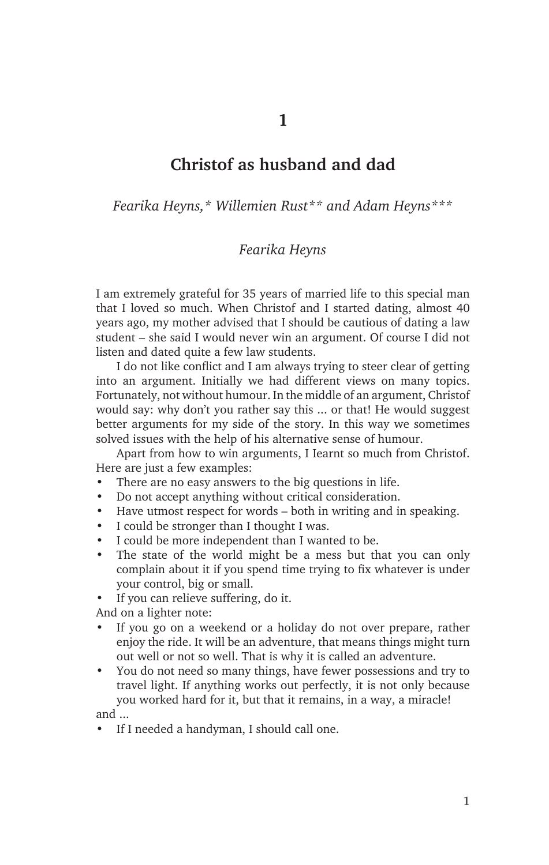## **Christof as husband and dad**

*Fearika Heyns,\* Willemien Rust\*\* and Adam Heyns\*\*\**

## *Fearika Heyns*

I am extremely grateful for 35 years of married life to this special man that I loved so much. When Christof and I started dating, almost 40 years ago, my mother advised that I should be cautious of dating a law student – she said I would never win an argument. Of course I did not listen and dated quite a few law students.

I do not like conflict and I am always trying to steer clear of getting into an argument. Initially we had different views on many topics. Fortunately, not without humour. In the middle of an argument, Christof would say: why don't you rather say this ... or that! He would suggest better arguments for my side of the story. In this way we sometimes solved issues with the help of his alternative sense of humour.

Apart from how to win arguments, I Iearnt so much from Christof. Here are just a few examples:

- There are no easy answers to the big questions in life.
- Do not accept anything without critical consideration.
- Have utmost respect for words both in writing and in speaking.
- I could be stronger than I thought I was.
- I could be more independent than I wanted to be.
- The state of the world might be a mess but that you can only complain about it if you spend time trying to fix whatever is under your control, big or small.
- If you can relieve suffering, do it.

And on a lighter note:

- If you go on a weekend or a holiday do not over prepare, rather enjoy the ride. It will be an adventure, that means things might turn out well or not so well. That is why it is called an adventure.
- You do not need so many things, have fewer possessions and try to travel light. If anything works out perfectly, it is not only because you worked hard for it, but that it remains, in a way, a miracle! and ...
- If I needed a handyman, I should call one.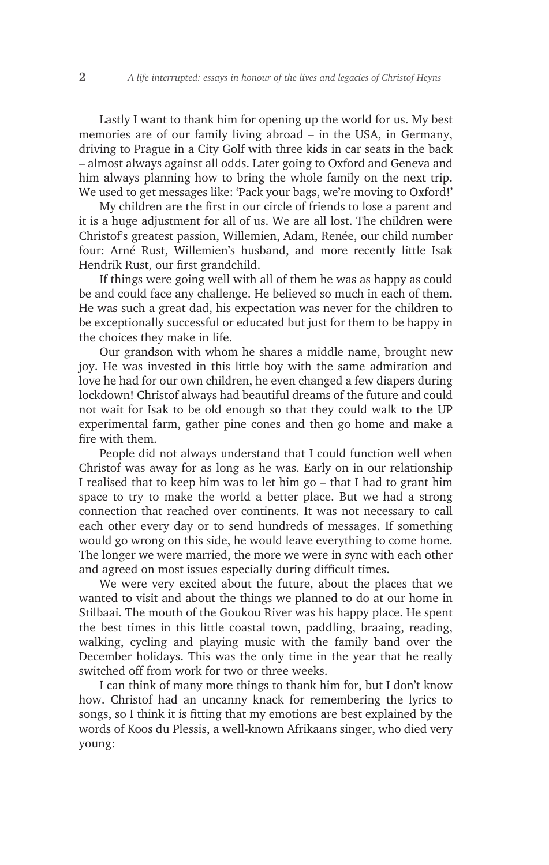Lastly I want to thank him for opening up the world for us. My best memories are of our family living abroad – in the USA, in Germany, driving to Prague in a City Golf with three kids in car seats in the back – almost always against all odds. Later going to Oxford and Geneva and him always planning how to bring the whole family on the next trip. We used to get messages like: 'Pack your bags, we're moving to Oxford!'

My children are the first in our circle of friends to lose a parent and it is a huge adjustment for all of us. We are all lost. The children were Christof's greatest passion, Willemien, Adam, Renée, our child number four: Arné Rust, Willemien's husband, and more recently little Isak Hendrik Rust, our first grandchild.

If things were going well with all of them he was as happy as could be and could face any challenge. He believed so much in each of them. He was such a great dad, his expectation was never for the children to be exceptionally successful or educated but just for them to be happy in the choices they make in life.

Our grandson with whom he shares a middle name, brought new joy. He was invested in this little boy with the same admiration and love he had for our own children, he even changed a few diapers during lockdown! Christof always had beautiful dreams of the future and could not wait for Isak to be old enough so that they could walk to the UP experimental farm, gather pine cones and then go home and make a fire with them.

People did not always understand that I could function well when Christof was away for as long as he was. Early on in our relationship I realised that to keep him was to let him go – that I had to grant him space to try to make the world a better place. But we had a strong connection that reached over continents. It was not necessary to call each other every day or to send hundreds of messages. If something would go wrong on this side, he would leave everything to come home. The longer we were married, the more we were in sync with each other and agreed on most issues especially during difficult times.

We were very excited about the future, about the places that we wanted to visit and about the things we planned to do at our home in Stilbaai. The mouth of the Goukou River was his happy place. He spent the best times in this little coastal town, paddling, braaing, reading, walking, cycling and playing music with the family band over the December holidays. This was the only time in the year that he really switched off from work for two or three weeks.

I can think of many more things to thank him for, but I don't know how. Christof had an uncanny knack for remembering the lyrics to songs, so I think it is fitting that my emotions are best explained by the words of Koos du Plessis, a well-known Afrikaans singer, who died very young: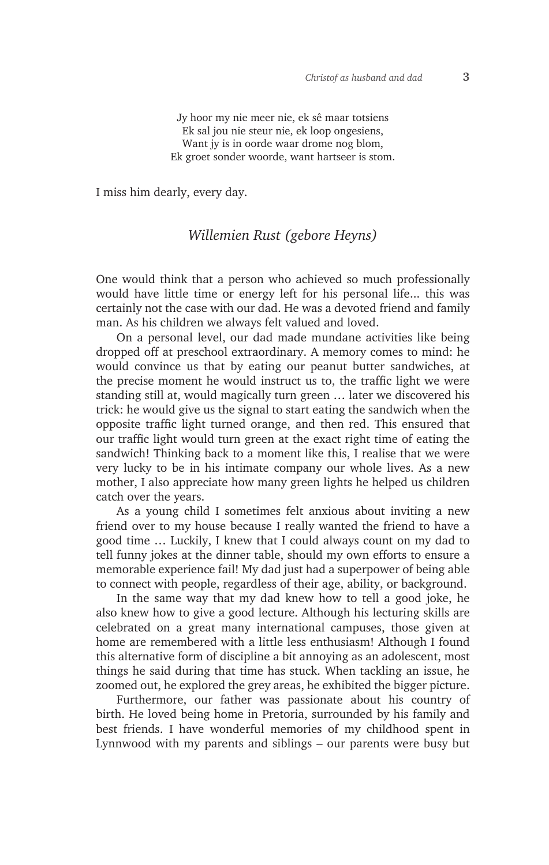Jy hoor my nie meer nie, ek sê maar totsiens Ek sal jou nie steur nie, ek loop ongesiens, Want iv is in oorde waar drome nog blom. Ek groet sonder woorde, want hartseer is stom.

I miss him dearly, every day.

## *Willemien Rust (gebore Heyns)*

One would think that a person who achieved so much professionally would have little time or energy left for his personal life... this was certainly not the case with our dad. He was a devoted friend and family man. As his children we always felt valued and loved.

On a personal level, our dad made mundane activities like being dropped off at preschool extraordinary. A memory comes to mind: he would convince us that by eating our peanut butter sandwiches, at the precise moment he would instruct us to, the traffic light we were standing still at, would magically turn green … later we discovered his trick: he would give us the signal to start eating the sandwich when the opposite traffic light turned orange, and then red. This ensured that our traffic light would turn green at the exact right time of eating the sandwich! Thinking back to a moment like this, I realise that we were very lucky to be in his intimate company our whole lives. As a new mother, I also appreciate how many green lights he helped us children catch over the years.

As a young child I sometimes felt anxious about inviting a new friend over to my house because I really wanted the friend to have a good time … Luckily, I knew that I could always count on my dad to tell funny jokes at the dinner table, should my own efforts to ensure a memorable experience fail! My dad just had a superpower of being able to connect with people, regardless of their age, ability, or background.

In the same way that my dad knew how to tell a good joke, he also knew how to give a good lecture. Although his lecturing skills are celebrated on a great many international campuses, those given at home are remembered with a little less enthusiasm! Although I found this alternative form of discipline a bit annoying as an adolescent, most things he said during that time has stuck. When tackling an issue, he zoomed out, he explored the grey areas, he exhibited the bigger picture.

Furthermore, our father was passionate about his country of birth. He loved being home in Pretoria, surrounded by his family and best friends. I have wonderful memories of my childhood spent in Lynnwood with my parents and siblings – our parents were busy but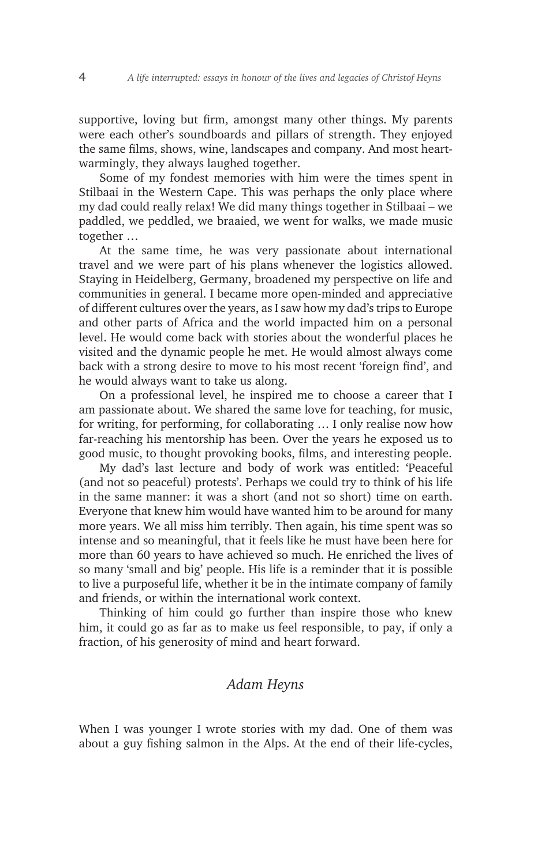supportive, loving but firm, amongst many other things. My parents were each other's soundboards and pillars of strength. They enjoyed the same films, shows, wine, landscapes and company. And most heartwarmingly, they always laughed together.

Some of my fondest memories with him were the times spent in Stilbaai in the Western Cape. This was perhaps the only place where my dad could really relax! We did many things together in Stilbaai – we paddled, we peddled, we braaied, we went for walks, we made music together …

At the same time, he was very passionate about international travel and we were part of his plans whenever the logistics allowed. Staying in Heidelberg, Germany, broadened my perspective on life and communities in general. I became more open-minded and appreciative of different cultures over the years, as I saw how my dad's trips to Europe and other parts of Africa and the world impacted him on a personal level. He would come back with stories about the wonderful places he visited and the dynamic people he met. He would almost always come back with a strong desire to move to his most recent 'foreign find', and he would always want to take us along.

On a professional level, he inspired me to choose a career that I am passionate about. We shared the same love for teaching, for music, for writing, for performing, for collaborating … I only realise now how far-reaching his mentorship has been. Over the years he exposed us to good music, to thought provoking books, films, and interesting people.

My dad's last lecture and body of work was entitled: 'Peaceful (and not so peaceful) protests'. Perhaps we could try to think of his life in the same manner: it was a short (and not so short) time on earth. Everyone that knew him would have wanted him to be around for many more years. We all miss him terribly. Then again, his time spent was so intense and so meaningful, that it feels like he must have been here for more than 60 years to have achieved so much. He enriched the lives of so many 'small and big' people. His life is a reminder that it is possible to live a purposeful life, whether it be in the intimate company of family and friends, or within the international work context.

Thinking of him could go further than inspire those who knew him, it could go as far as to make us feel responsible, to pay, if only a fraction, of his generosity of mind and heart forward.

## *Adam Heyns*

When I was younger I wrote stories with my dad. One of them was about a guy fishing salmon in the Alps. At the end of their life-cycles,